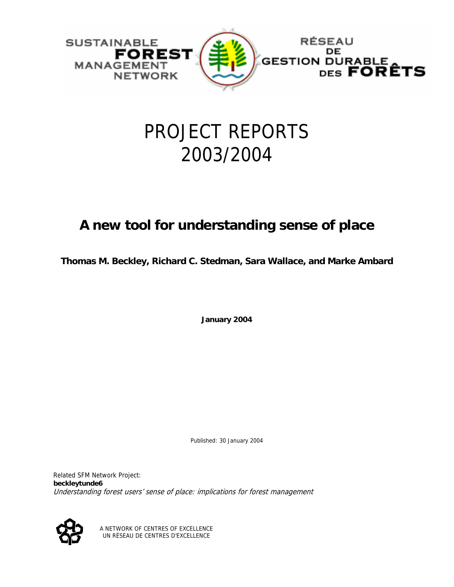

# PROJECT REPORTS 2003/2004

## **A new tool for understanding sense of place**

**Thomas M. Beckley, Richard C. Stedman, Sara Wallace, and Marke Ambard**

**January 2004** 

Published: 30 January 2004

Related SFM Network Project: **beckleytunde6**  Understanding forest users' sense of place: implications for forest management



A NETWORK OF CENTRES OF EXCELLENCE UN RÉSEAU DE CENTRES D'EXCELLENCE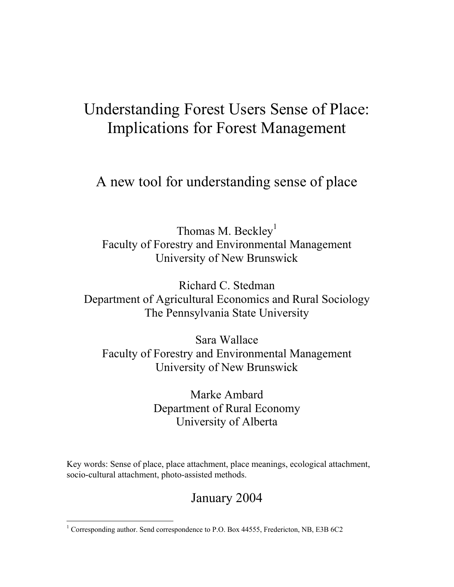# Understanding Forest Users Sense of Place: Implications for Forest Management

A new tool for understanding sense of place

Thomas M. Beckley<sup>1</sup> Faculty of Forestry and Environmental Management University of New Brunswick

Richard C. Stedman Department of Agricultural Economics and Rural Sociology The Pennsylvania State University

Sara Wallace Faculty of Forestry and Environmental Management University of New Brunswick

> Marke Ambard Department of Rural Economy University of Alberta

Key words: Sense of place, place attachment, place meanings, ecological attachment, socio-cultural attachment, photo-assisted methods.

### January 2004

 $\overline{a}$ 

<span id="page-1-0"></span><sup>&</sup>lt;sup>1</sup> Corresponding author. Send correspondence to P.O. Box 44555, Fredericton, NB, E3B 6C2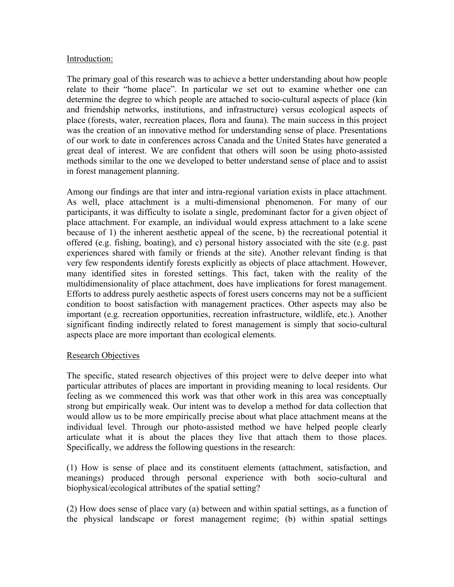#### Introduction:

The primary goal of this research was to achieve a better understanding about how people relate to their "home place". In particular we set out to examine whether one can determine the degree to which people are attached to socio-cultural aspects of place (kin and friendship networks, institutions, and infrastructure) versus ecological aspects of place (forests, water, recreation places, flora and fauna). The main success in this project was the creation of an innovative method for understanding sense of place. Presentations of our work to date in conferences across Canada and the United States have generated a great deal of interest. We are confident that others will soon be using photo-assisted methods similar to the one we developed to better understand sense of place and to assist in forest management planning.

Among our findings are that inter and intra-regional variation exists in place attachment. As well, place attachment is a multi-dimensional phenomenon. For many of our participants, it was difficulty to isolate a single, predominant factor for a given object of place attachment. For example, an individual would express attachment to a lake scene because of 1) the inherent aesthetic appeal of the scene, b) the recreational potential it offered (e.g. fishing, boating), and c) personal history associated with the site (e.g. past experiences shared with family or friends at the site). Another relevant finding is that very few respondents identify forests explicitly as objects of place attachment. However, many identified sites in forested settings. This fact, taken with the reality of the multidimensionality of place attachment, does have implications for forest management. Efforts to address purely aesthetic aspects of forest users concerns may not be a sufficient condition to boost satisfaction with management practices. Other aspects may also be important (e.g. recreation opportunities, recreation infrastructure, wildlife, etc.). Another significant finding indirectly related to forest management is simply that socio-cultural aspects place are more important than ecological elements.

#### Research Objectives

The specific, stated research objectives of this project were to delve deeper into what particular attributes of places are important in providing meaning to local residents. Our feeling as we commenced this work was that other work in this area was conceptually strong but empirically weak. Our intent was to develop a method for data collection that would allow us to be more empirically precise about what place attachment means at the individual level. Through our photo-assisted method we have helped people clearly articulate what it is about the places they live that attach them to those places. Specifically, we address the following questions in the research:

(1) How is sense of place and its constituent elements (attachment, satisfaction, and meanings) produced through personal experience with both socio-cultural and biophysical/ecological attributes of the spatial setting?

(2) How does sense of place vary (a) between and within spatial settings, as a function of the physical landscape or forest management regime; (b) within spatial settings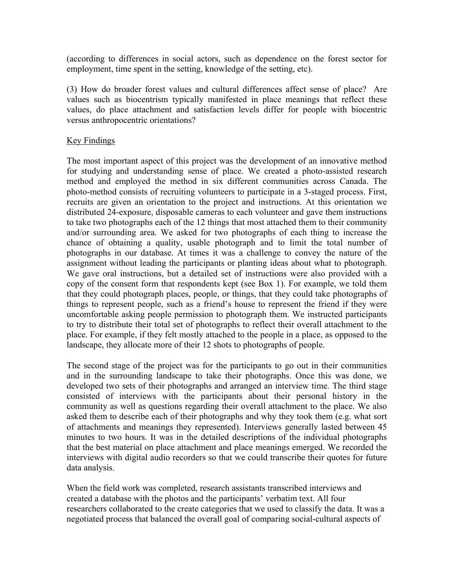(according to differences in social actors, such as dependence on the forest sector for employment, time spent in the setting, knowledge of the setting, etc).

(3) How do broader forest values and cultural differences affect sense of place? Are values such as biocentrism typically manifested in place meanings that reflect these values, do place attachment and satisfaction levels differ for people with biocentric versus anthropocentric orientations?

#### Key Findings

The most important aspect of this project was the development of an innovative method for studying and understanding sense of place. We created a photo-assisted research method and employed the method in six different communities across Canada. The photo-method consists of recruiting volunteers to participate in a 3-staged process. First, recruits are given an orientation to the project and instructions. At this orientation we distributed 24-exposure, disposable cameras to each volunteer and gave them instructions to take two photographs each of the 12 things that most attached them to their community and/or surrounding area. We asked for two photographs of each thing to increase the chance of obtaining a quality, usable photograph and to limit the total number of photographs in our database. At times it was a challenge to convey the nature of the assignment without leading the participants or planting ideas about what to photograph. We gave oral instructions, but a detailed set of instructions were also provided with a copy of the consent form that respondents kept (see Box 1). For example, we told them that they could photograph places, people, or things, that they could take photographs of things to represent people, such as a friend's house to represent the friend if they were uncomfortable asking people permission to photograph them. We instructed participants to try to distribute their total set of photographs to reflect their overall attachment to the place. For example, if they felt mostly attached to the people in a place, as opposed to the landscape, they allocate more of their 12 shots to photographs of people.

The second stage of the project was for the participants to go out in their communities and in the surrounding landscape to take their photographs. Once this was done, we developed two sets of their photographs and arranged an interview time. The third stage consisted of interviews with the participants about their personal history in the community as well as questions regarding their overall attachment to the place. We also asked them to describe each of their photographs and why they took them (e.g. what sort of attachments and meanings they represented). Interviews generally lasted between 45 minutes to two hours. It was in the detailed descriptions of the individual photographs that the best material on place attachment and place meanings emerged. We recorded the interviews with digital audio recorders so that we could transcribe their quotes for future data analysis.

When the field work was completed, research assistants transcribed interviews and created a database with the photos and the participants' verbatim text. All four researchers collaborated to the create categories that we used to classify the data. It was a negotiated process that balanced the overall goal of comparing social-cultural aspects of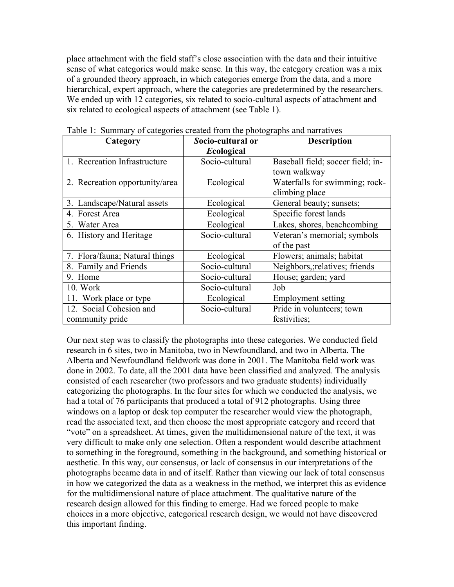place attachment with the field staff's close association with the data and their intuitive sense of what categories would make sense. In this way, the category creation was a mix of a grounded theory approach, in which categories emerge from the data, and a more hierarchical, expert approach, where the categories are predetermined by the researchers. We ended up with 12 categories, six related to socio-cultural aspects of attachment and six related to ecological aspects of attachment (see Table 1).

| Category                       | Socio-cultural or | <b>Description</b>                |  |
|--------------------------------|-------------------|-----------------------------------|--|
|                                | Ecological        |                                   |  |
| 1. Recreation Infrastructure   | Socio-cultural    | Baseball field; soccer field; in- |  |
|                                |                   | town walkway                      |  |
| 2. Recreation opportunity/area | Ecological        | Waterfalls for swimming; rock-    |  |
|                                |                   | climbing place                    |  |
| 3. Landscape/Natural assets    | Ecological        | General beauty; sunsets;          |  |
| 4. Forest Area                 | Ecological        | Specific forest lands             |  |
| 5. Water Area                  | Ecological        | Lakes, shores, beachcombing       |  |
| 6. History and Heritage        | Socio-cultural    | Veteran's memorial; symbols       |  |
|                                |                   | of the past                       |  |
| 7. Flora/fauna; Natural things | Ecological        | Flowers; animals; habitat         |  |
| 8. Family and Friends          | Socio-cultural    | Neighbors, relatives; friends     |  |
| 9. Home                        | Socio-cultural    | House; garden; yard               |  |
| 10. Work                       | Socio-cultural    | Job                               |  |
| 11. Work place or type         | Ecological        | <b>Employment setting</b>         |  |
| 12. Social Cohesion and        | Socio-cultural    | Pride in volunteers; town         |  |
| community pride                |                   | festivities;                      |  |

Table 1: Summary of categories created from the photographs and narratives

Our next step was to classify the photographs into these categories. We conducted field research in 6 sites, two in Manitoba, two in Newfoundland, and two in Alberta. The Alberta and Newfoundland fieldwork was done in 2001. The Manitoba field work was done in 2002. To date, all the 2001 data have been classified and analyzed. The analysis consisted of each researcher (two professors and two graduate students) individually categorizing the photographs. In the four sites for which we conducted the analysis, we had a total of 76 participants that produced a total of 912 photographs. Using three windows on a laptop or desk top computer the researcher would view the photograph, read the associated text, and then choose the most appropriate category and record that "vote" on a spreadsheet. At times, given the multidimensional nature of the text, it was very difficult to make only one selection. Often a respondent would describe attachment to something in the foreground, something in the background, and something historical or aesthetic. In this way, our consensus, or lack of consensus in our interpretations of the photographs became data in and of itself. Rather than viewing our lack of total consensus in how we categorized the data as a weakness in the method, we interpret this as evidence for the multidimensional nature of place attachment. The qualitative nature of the research design allowed for this finding to emerge. Had we forced people to make choices in a more objective, categorical research design, we would not have discovered this important finding.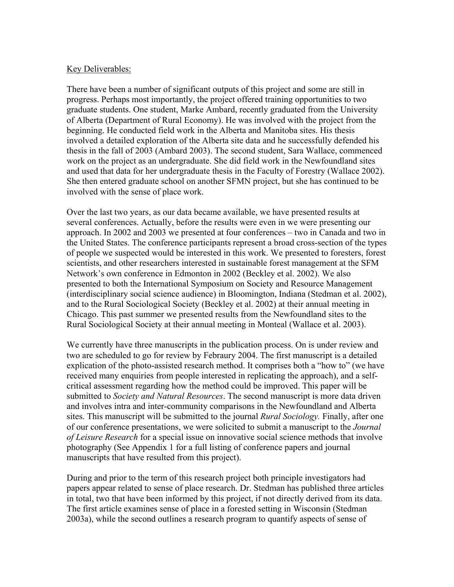#### Key Deliverables:

There have been a number of significant outputs of this project and some are still in progress. Perhaps most importantly, the project offered training opportunities to two graduate students. One student, Marke Ambard, recently graduated from the University of Alberta (Department of Rural Economy). He was involved with the project from the beginning. He conducted field work in the Alberta and Manitoba sites. His thesis involved a detailed exploration of the Alberta site data and he successfully defended his thesis in the fall of 2003 (Ambard 2003). The second student, Sara Wallace, commenced work on the project as an undergraduate. She did field work in the Newfoundland sites and used that data for her undergraduate thesis in the Faculty of Forestry (Wallace 2002). She then entered graduate school on another SFMN project, but she has continued to be involved with the sense of place work.

Over the last two years, as our data became available, we have presented results at several conferences. Actually, before the results were even in we were presenting our approach. In 2002 and 2003 we presented at four conferences – two in Canada and two in the United States. The conference participants represent a broad cross-section of the types of people we suspected would be interested in this work. We presented to foresters, forest scientists, and other researchers interested in sustainable forest management at the SFM Network's own conference in Edmonton in 2002 (Beckley et al. 2002). We also presented to both the International Symposium on Society and Resource Management (interdisciplinary social science audience) in Bloomington, Indiana (Stedman et al. 2002), and to the Rural Sociological Society (Beckley et al. 2002) at their annual meeting in Chicago. This past summer we presented results from the Newfoundland sites to the Rural Sociological Society at their annual meeting in Monteal (Wallace et al. 2003).

We currently have three manuscripts in the publication process. On is under review and two are scheduled to go for review by Febraury 2004. The first manuscript is a detailed explication of the photo-assisted research method. It comprises both a "how to" (we have received many enquiries from people interested in replicating the approach), and a selfcritical assessment regarding how the method could be improved. This paper will be submitted to *Society and Natural Resources*. The second manuscript is more data driven and involves intra and inter-community comparisons in the Newfoundland and Alberta sites. This manuscript will be submitted to the journal *Rural Sociology.* Finally, after one of our conference presentations, we were solicited to submit a manuscript to the *Journal of Leisure Research* for a special issue on innovative social science methods that involve photography (See Appendix 1 for a full listing of conference papers and journal manuscripts that have resulted from this project).

During and prior to the term of this research project both principle investigators had papers appear related to sense of place research. Dr. Stedman has published three articles in total, two that have been informed by this project, if not directly derived from its data. The first article examines sense of place in a forested setting in Wisconsin (Stedman 2003a), while the second outlines a research program to quantify aspects of sense of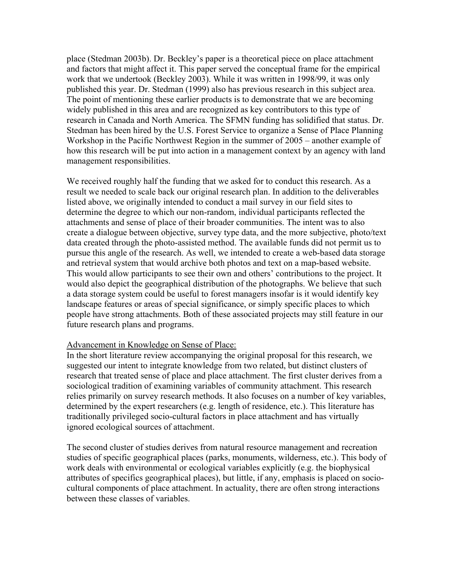place (Stedman 2003b). Dr. Beckley's paper is a theoretical piece on place attachment and factors that might affect it. This paper served the conceptual frame for the empirical work that we undertook (Beckley 2003). While it was written in 1998/99, it was only published this year. Dr. Stedman (1999) also has previous research in this subject area. The point of mentioning these earlier products is to demonstrate that we are becoming widely published in this area and are recognized as key contributors to this type of research in Canada and North America. The SFMN funding has solidified that status. Dr. Stedman has been hired by the U.S. Forest Service to organize a Sense of Place Planning Workshop in the Pacific Northwest Region in the summer of 2005 – another example of how this research will be put into action in a management context by an agency with land management responsibilities.

We received roughly half the funding that we asked for to conduct this research. As a result we needed to scale back our original research plan. In addition to the deliverables listed above, we originally intended to conduct a mail survey in our field sites to determine the degree to which our non-random, individual participants reflected the attachments and sense of place of their broader communities. The intent was to also create a dialogue between objective, survey type data, and the more subjective, photo/text data created through the photo-assisted method. The available funds did not permit us to pursue this angle of the research. As well, we intended to create a web-based data storage and retrieval system that would archive both photos and text on a map-based website. This would allow participants to see their own and others' contributions to the project. It would also depict the geographical distribution of the photographs. We believe that such a data storage system could be useful to forest managers insofar is it would identify key landscape features or areas of special significance, or simply specific places to which people have strong attachments. Both of these associated projects may still feature in our future research plans and programs.

#### Advancement in Knowledge on Sense of Place:

In the short literature review accompanying the original proposal for this research, we suggested our intent to integrate knowledge from two related, but distinct clusters of research that treated sense of place and place attachment. The first cluster derives from a sociological tradition of examining variables of community attachment. This research relies primarily on survey research methods. It also focuses on a number of key variables, determined by the expert researchers (e.g. length of residence, etc.). This literature has traditionally privileged socio-cultural factors in place attachment and has virtually ignored ecological sources of attachment.

The second cluster of studies derives from natural resource management and recreation studies of specific geographical places (parks, monuments, wilderness, etc.). This body of work deals with environmental or ecological variables explicitly (e.g. the biophysical attributes of specifics geographical places), but little, if any, emphasis is placed on sociocultural components of place attachment. In actuality, there are often strong interactions between these classes of variables.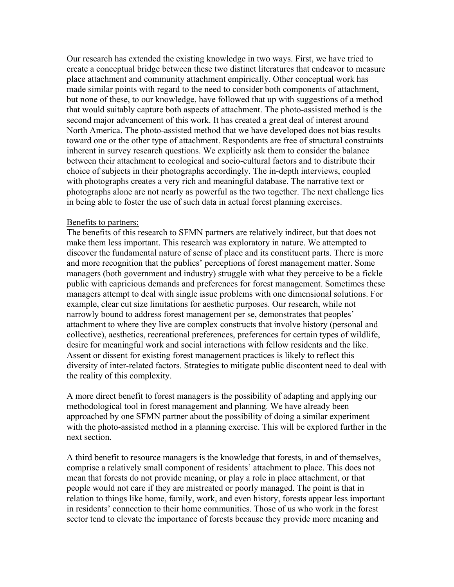Our research has extended the existing knowledge in two ways. First, we have tried to create a conceptual bridge between these two distinct literatures that endeavor to measure place attachment and community attachment empirically. Other conceptual work has made similar points with regard to the need to consider both components of attachment, but none of these, to our knowledge, have followed that up with suggestions of a method that would suitably capture both aspects of attachment. The photo-assisted method is the second major advancement of this work. It has created a great deal of interest around North America. The photo-assisted method that we have developed does not bias results toward one or the other type of attachment. Respondents are free of structural constraints inherent in survey research questions. We explicitly ask them to consider the balance between their attachment to ecological and socio-cultural factors and to distribute their choice of subjects in their photographs accordingly. The in-depth interviews, coupled with photographs creates a very rich and meaningful database. The narrative text or photographs alone are not nearly as powerful as the two together. The next challenge lies in being able to foster the use of such data in actual forest planning exercises.

#### Benefits to partners:

The benefits of this research to SFMN partners are relatively indirect, but that does not make them less important. This research was exploratory in nature. We attempted to discover the fundamental nature of sense of place and its constituent parts. There is more and more recognition that the publics' perceptions of forest management matter. Some managers (both government and industry) struggle with what they perceive to be a fickle public with capricious demands and preferences for forest management. Sometimes these managers attempt to deal with single issue problems with one dimensional solutions. For example, clear cut size limitations for aesthetic purposes. Our research, while not narrowly bound to address forest management per se, demonstrates that peoples' attachment to where they live are complex constructs that involve history (personal and collective), aesthetics, recreational preferences, preferences for certain types of wildlife, desire for meaningful work and social interactions with fellow residents and the like. Assent or dissent for existing forest management practices is likely to reflect this diversity of inter-related factors. Strategies to mitigate public discontent need to deal with the reality of this complexity.

A more direct benefit to forest managers is the possibility of adapting and applying our methodological tool in forest management and planning. We have already been approached by one SFMN partner about the possibility of doing a similar experiment with the photo-assisted method in a planning exercise. This will be explored further in the next section.

A third benefit to resource managers is the knowledge that forests, in and of themselves, comprise a relatively small component of residents' attachment to place. This does not mean that forests do not provide meaning, or play a role in place attachment, or that people would not care if they are mistreated or poorly managed. The point is that in relation to things like home, family, work, and even history, forests appear less important in residents' connection to their home communities. Those of us who work in the forest sector tend to elevate the importance of forests because they provide more meaning and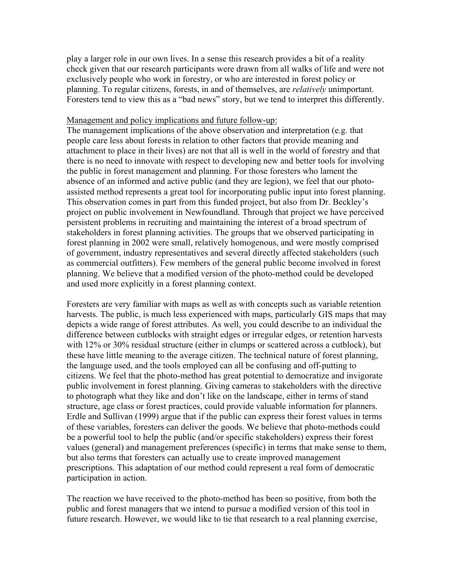play a larger role in our own lives. In a sense this research provides a bit of a reality check given that our research participants were drawn from all walks of life and were not exclusively people who work in forestry, or who are interested in forest policy or planning. To regular citizens, forests, in and of themselves, are *relatively* unimportant. Foresters tend to view this as a "bad news" story, but we tend to interpret this differently.

#### Management and policy implications and future follow-up:

The management implications of the above observation and interpretation (e.g. that people care less about forests in relation to other factors that provide meaning and attachment to place in their lives) are not that all is well in the world of forestry and that there is no need to innovate with respect to developing new and better tools for involving the public in forest management and planning. For those foresters who lament the absence of an informed and active public (and they are legion), we feel that our photoassisted method represents a great tool for incorporating public input into forest planning. This observation comes in part from this funded project, but also from Dr. Beckley's project on public involvement in Newfoundland. Through that project we have perceived persistent problems in recruiting and maintaining the interest of a broad spectrum of stakeholders in forest planning activities. The groups that we observed participating in forest planning in 2002 were small, relatively homogenous, and were mostly comprised of government, industry representatives and several directly affected stakeholders (such as commercial outfitters). Few members of the general public become involved in forest planning. We believe that a modified version of the photo-method could be developed and used more explicitly in a forest planning context.

Foresters are very familiar with maps as well as with concepts such as variable retention harvests. The public, is much less experienced with maps, particularly GIS maps that may depicts a wide range of forest attributes. As well, you could describe to an individual the difference between cutblocks with straight edges or irregular edges, or retention harvests with 12% or 30% residual structure (either in clumps or scattered across a cutblock), but these have little meaning to the average citizen. The technical nature of forest planning, the language used, and the tools employed can all be confusing and off-putting to citizens. We feel that the photo-method has great potential to democratize and invigorate public involvement in forest planning. Giving cameras to stakeholders with the directive to photograph what they like and don't like on the landscape, either in terms of stand structure, age class or forest practices, could provide valuable information for planners. Erdle and Sullivan (1999) argue that if the public can express their forest values in terms of these variables, foresters can deliver the goods. We believe that photo-methods could be a powerful tool to help the public (and/or specific stakeholders) express their forest values (general) and management preferences (specific) in terms that make sense to them, but also terms that foresters can actually use to create improved management prescriptions. This adaptation of our method could represent a real form of democratic participation in action.

The reaction we have received to the photo-method has been so positive, from both the public and forest managers that we intend to pursue a modified version of this tool in future research. However, we would like to tie that research to a real planning exercise,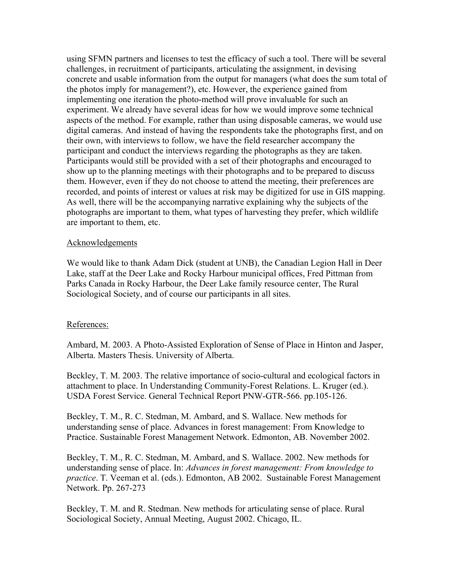using SFMN partners and licenses to test the efficacy of such a tool. There will be several challenges, in recruitment of participants, articulating the assignment, in devising concrete and usable information from the output for managers (what does the sum total of the photos imply for management?), etc. However, the experience gained from implementing one iteration the photo-method will prove invaluable for such an experiment. We already have several ideas for how we would improve some technical aspects of the method. For example, rather than using disposable cameras, we would use digital cameras. And instead of having the respondents take the photographs first, and on their own, with interviews to follow, we have the field researcher accompany the participant and conduct the interviews regarding the photographs as they are taken. Participants would still be provided with a set of their photographs and encouraged to show up to the planning meetings with their photographs and to be prepared to discuss them. However, even if they do not choose to attend the meeting, their preferences are recorded, and points of interest or values at risk may be digitized for use in GIS mapping. As well, there will be the accompanying narrative explaining why the subjects of the photographs are important to them, what types of harvesting they prefer, which wildlife are important to them, etc.

#### Acknowledgements

We would like to thank Adam Dick (student at UNB), the Canadian Legion Hall in Deer Lake, staff at the Deer Lake and Rocky Harbour municipal offices, Fred Pittman from Parks Canada in Rocky Harbour, the Deer Lake family resource center, The Rural Sociological Society, and of course our participants in all sites.

#### References:

Ambard, M. 2003. A Photo-Assisted Exploration of Sense of Place in Hinton and Jasper, Alberta. Masters Thesis. University of Alberta.

Beckley, T. M. 2003. The relative importance of socio-cultural and ecological factors in attachment to place. In Understanding Community-Forest Relations. L. Kruger (ed.). USDA Forest Service. General Technical Report PNW-GTR-566. pp.105-126.

Beckley, T. M., R. C. Stedman, M. Ambard, and S. Wallace. New methods for understanding sense of place. Advances in forest management: From Knowledge to Practice. Sustainable Forest Management Network. Edmonton, AB. November 2002.

Beckley, T. M., R. C. Stedman, M. Ambard, and S. Wallace. 2002. New methods for understanding sense of place. In: *Advances in forest management: From knowledge to practice*. T. Veeman et al. (eds.). Edmonton, AB 2002. Sustainable Forest Management Network. Pp. 267-273

Beckley, T. M. and R. Stedman. New methods for articulating sense of place. Rural Sociological Society, Annual Meeting, August 2002. Chicago, IL.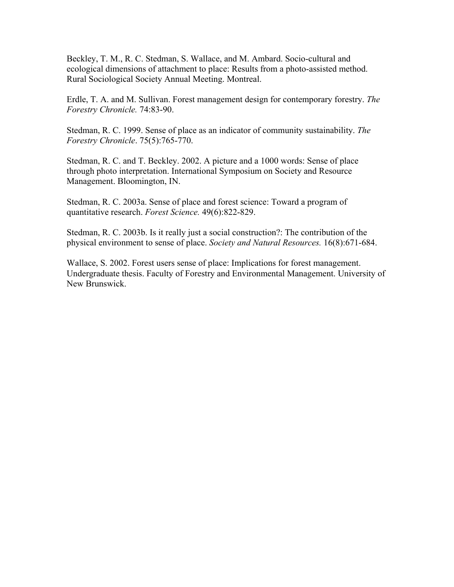Beckley, T. M., R. C. Stedman, S. Wallace, and M. Ambard. Socio-cultural and ecological dimensions of attachment to place: Results from a photo-assisted method. Rural Sociological Society Annual Meeting. Montreal.

Erdle, T. A. and M. Sullivan. Forest management design for contemporary forestry. *The Forestry Chronicle.* 74:83-90.

Stedman, R. C. 1999. Sense of place as an indicator of community sustainability. *The Forestry Chronicle*. 75(5):765-770.

Stedman, R. C. and T. Beckley. 2002. A picture and a 1000 words: Sense of place through photo interpretation. International Symposium on Society and Resource Management. Bloomington, IN.

Stedman, R. C. 2003a. Sense of place and forest science: Toward a program of quantitative research. *Forest Science.* 49(6):822-829.

Stedman, R. C. 2003b. Is it really just a social construction?: The contribution of the physical environment to sense of place. *Society and Natural Resources.* 16(8):671-684.

Wallace, S. 2002. Forest users sense of place: Implications for forest management. Undergraduate thesis. Faculty of Forestry and Environmental Management. University of New Brunswick.